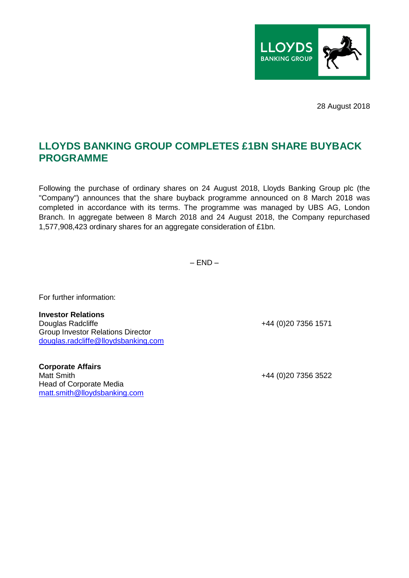

28 August 2018

## **LLOYDS BANKING GROUP COMPLETES £1BN SHARE BUYBACK PROGRAMME**

Following the purchase of ordinary shares on 24 August 2018, Lloyds Banking Group plc (the "Company") announces that the share buyback programme announced on 8 March 2018 was completed in accordance with its terms. The programme was managed by UBS AG, London Branch. In aggregate between 8 March 2018 and 24 August 2018, the Company repurchased 1,577,908,423 ordinary shares for an aggregate consideration of £1bn.

 $-$  FND  $-$ 

For further information:

**Investor Relations**  Douglas Radcliffe +44 (0)20 7356 1571 Group Investor Relations Director douglas.radcliffe@lloydsbanking.com

**Corporate Affairs**  Matt Smith  $+44 (0)20 7356 3522$ Head of Corporate Media matt.smith@lloydsbanking.com